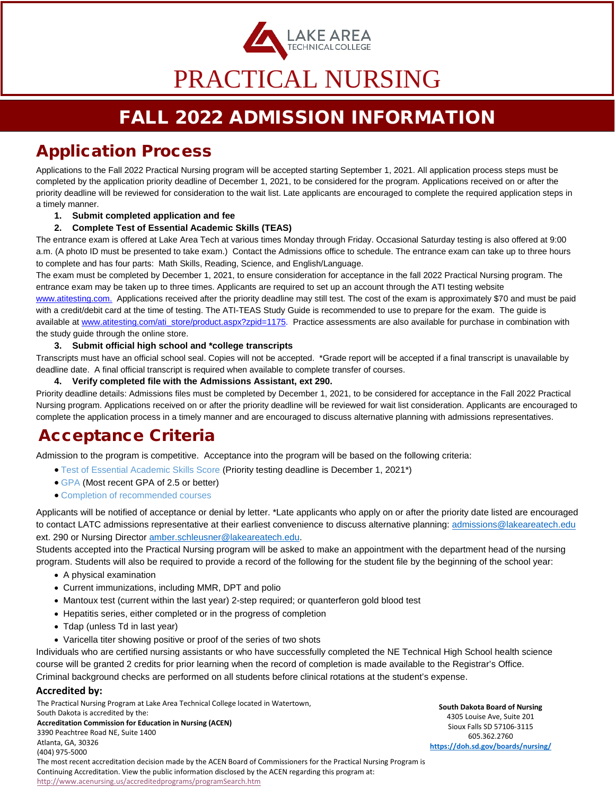# LAKE AREA PRACTICAL NURSING

## FALL 2022 ADMISSION INFORMATION

### Application Process

Applications to the Fall 2022 Practical Nursing program will be accepted starting September 1, 2021. All application process steps must be completed by the application priority deadline of December 1, 2021, to be considered for the program. Applications received on or after the priority deadline will be reviewed for consideration to the wait list. Late applicants are encouraged to complete the required application steps in a timely manner.

- **1. Submit completed application and fee**
- **2. Complete Test of Essential Academic Skills (TEAS)**

The entrance exam is offered at Lake Area Tech at various times Monday through Friday. Occasional Saturday testing is also offered at 9:00 a.m. (A photo ID must be presented to take exam.) Contact the Admissions office to schedule. The entrance exam can take up to three hours to complete and has four parts: Math Skills, Reading, Science, and English/Language.

The exam must be completed by December 1, 2021, to ensure consideration for acceptance in the fall 2022 Practical Nursing program. The entrance exam may be taken up to three times. Applicants are required to set up an account through the ATI testing website www.atitesting.com. Applications received after the priority deadline may still test. The cost of the exam is approximately \$70 and must be paid with a credit/debit card at the time of testing. The ATI-TEAS Study Guide is recommended to use to prepare for the exam. The guide is available at www.atitesting.com/ati\_store/product.aspx?zpid=1175. Practice assessments are also available for purchase in combination with the study guide through the online store.

#### **3. Submit official high school and \*college transcripts**

Transcripts must have an official school seal. Copies will not be accepted. \*Grade report will be accepted if a final transcript is unavailable by deadline date. A final official transcript is required when available to complete transfer of courses.

#### **4. Verify completed file with the Admissions Assistant, ext 290.**

Priority deadline details: Admissions files must be completed by December 1, 2021, to be considered for acceptance in the Fall 2022 Practical Nursing program. Applications received on or after the priority deadline will be reviewed for wait list consideration. Applicants are encouraged to complete the application process in a timely manner and are encouraged to discuss alternative planning with admissions representatives.

### Acceptance Criteria

Admission to the program is competitive. Acceptance into the program will be based on the following criteria:

- Test of Essential Academic Skills Score (Priority testing deadline is December 1, 2021\*)
- GPA (Most recent GPA of 2.5 or better)
- Completion of recommended courses

Applicants will be notified of acceptance or denial by letter. \*Late applicants who apply on or after the priority date listed are encouraged to contact LATC admissions representative at their earliest convenience to discuss alternative planning: [admissions@lakeareatech.edu](mailto:admissions@lakeareatech.edu) ext. 290 or Nursing Directo[r amber.schleusner@lakeareatech.edu.](mailto:amber.schleusner@lakeareatech.edu) 

Students accepted into the Practical Nursing program will be asked to make an appointment with the department head of the nursing program. Students will also be required to provide a record of the following for the student file by the beginning of the school year:

- A physical examination
- Current immunizations, including MMR, DPT and polio
- Mantoux test (current within the last year) 2-step required; or quanterferon gold blood test
- Hepatitis series, either completed or in the progress of completion
- Tdap (unless Td in last year)
- Varicella titer showing positive or proof of the series of two shots

Individuals who are certified nursing assistants or who have successfully completed the NE Technical High School health science course will be granted 2 credits for prior learning when the record of completion is made available to the Registrar's Office. Criminal background checks are performed on all students before clinical rotations at the student's expense.

#### **Accredited by:**

The Practical Nursing Program at Lake Area Technical College located in Watertown, South Dakota is accredited by the: **Accreditation Commission for Education in Nursing (ACEN)** 3390 Peachtree Road NE, Suite 1400 Atlanta, GA, 30326 (404) 975-5000 The most recent accreditation decision made by the ACEN Board of Commissioners for the Practical Nursing Program is Continuing Accreditation. View the public information disclosed by the ACEN regarding this program at: <http://www.acenursing.us/accreditedprograms/programSearch.htm>

**South Dakota Board of Nursing** 4305 Louise Ave, Suite 201 Sioux Falls SD 57106-3115 605.362.2760 **<https://doh.sd.gov/boards/nursing/>**